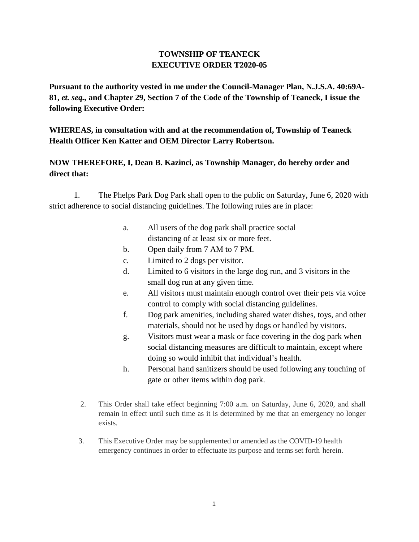## **TOWNSHIP OF TEANECK EXECUTIVE ORDER T2020-05**

**Pursuant to the authority vested in me under the Council-Manager Plan, N.J.S.A. 40:69A-81,** *et. seq.,* **and Chapter 29, Section 7 of the Code of the Township of Teaneck, I issue the following Executive Order:**

**WHEREAS, in consultation with and at the recommendation of, Township of Teaneck Health Officer Ken Katter and OEM Director Larry Robertson.**

## **NOW THEREFORE, I, Dean B. Kazinci, as Township Manager, do hereby order and direct that:**

1. The Phelps Park Dog Park shall open to the public on Saturday, June 6, 2020 with strict adherence to social distancing guidelines. The following rules are in place:

- a. All users of the dog park shall practice social distancing of at least six or more feet.
- b. Open daily from 7 AM to 7 PM.
- c. Limited to 2 dogs per visitor.
- d. Limited to 6 visitors in the large dog run, and 3 visitors in the small dog run at any given time.
- e. All visitors must maintain enough control over their pets via voice control to comply with social distancing guidelines.
- f. Dog park amenities, including shared water dishes, toys, and other materials, should not be used by dogs or handled by visitors.
- g. Visitors must wear a mask or face covering in the dog park when social distancing measures are difficult to maintain, except where doing so would inhibit that individual's health.
- h. Personal hand sanitizers should be used following any touching of gate or other items within dog park.
- 2. This Order shall take effect beginning 7:00 a.m. on Saturday, June 6, 2020, and shall remain in effect until such time as it is determined by me that an emergency no longer exists.
- 3. This Executive Order may be supplemented or amended as the COVID-19 health emergency continues in order to effectuate its purpose and terms set forth herein.